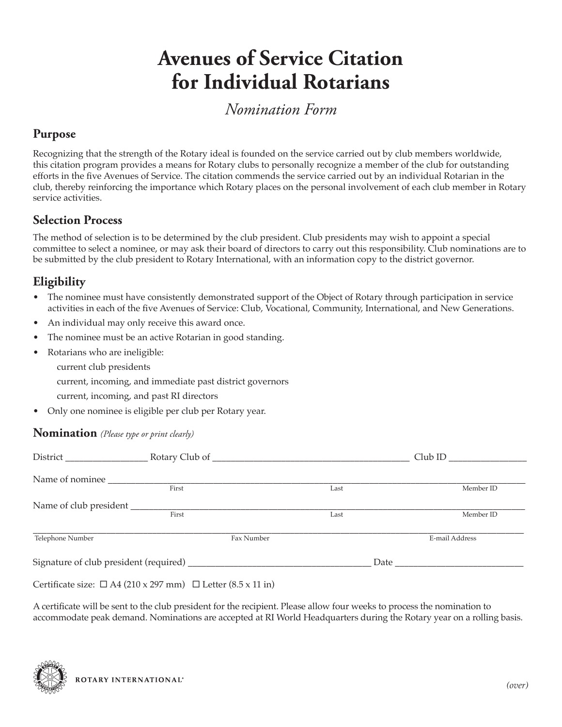# **Avenues of Service Citation for Individual Rotarians**

*Nomination Form*

### **Purpose**

Recognizing that the strength of the Rotary ideal is founded on the service carried out by club members worldwide, this citation program provides a means for Rotary clubs to personally recognize a member of the club for outstanding efforts in the five Avenues of Service. The citation commends the service carried out by an individual Rotarian in the club, thereby reinforcing the importance which Rotary places on the personal involvement of each club member in Rotary service activities.

### **Selection Process**

The method of selection is to be determined by the club president. Club presidents may wish to appoint a special committee to select a nominee, or may ask their board of directors to carry out this responsibility. Club nominations are to be submitted by the club president to Rotary International, with an information copy to the district governor.

## **Eligibility**

- The nominee must have consistently demonstrated support of the Object of Rotary through participation in service activities in each of the five Avenues of Service: Club, Vocational, Community, International, and New Generations.
- An individual may only receive this award once.
- The nominee must be an active Rotarian in good standing.
- Rotarians who are ineligible:
	- current club presidents

current, incoming, and immediate past district governors

- current, incoming, and past RI directors
- Only one nominee is eligible per club per Rotary year.

#### **Nomination** *(Please type or print clearly)*

|                  | District Representation Representation Representation Representation Representation Representation Representation Representation Representation Representation Representation Representation Representation Representation Rep |      | $Club$ ID      |
|------------------|--------------------------------------------------------------------------------------------------------------------------------------------------------------------------------------------------------------------------------|------|----------------|
|                  |                                                                                                                                                                                                                                |      |                |
|                  | First                                                                                                                                                                                                                          | Last | Member ID      |
|                  |                                                                                                                                                                                                                                |      |                |
|                  | First                                                                                                                                                                                                                          | Last | Member ID      |
| Telephone Number | Fax Number                                                                                                                                                                                                                     |      | E-mail Address |
|                  |                                                                                                                                                                                                                                |      |                |
|                  | Certificate size: $\Box$ A4 (210 x 297 mm) $\Box$ Letter (8.5 x 11 in)                                                                                                                                                         |      |                |

A certificate will be sent to the club president for the recipient. Please allow four weeks to process the nomination to accommodate peak demand. Nominations are accepted at RI World Headquarters during the Rotary year on a rolling basis.